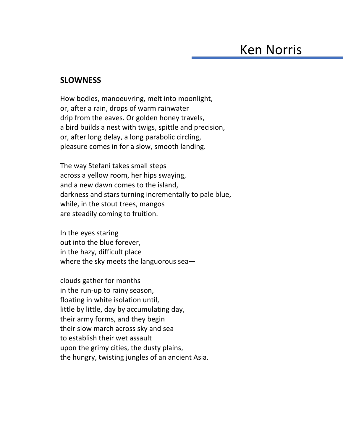## **SLOWNESS**

How bodies, manoeuvring, melt into moonlight, or, after a rain, drops of warm rainwater drip from the eaves. Or golden honey travels, a bird builds a nest with twigs, spittle and precision, or, after long delay, a long parabolic circling, pleasure comes in for a slow, smooth landing.

The way Stefani takes small steps across a yellow room, her hips swaying, and a new dawn comes to the island, darkness and stars turning incrementally to pale blue, while, in the stout trees, mangos are steadily coming to fruition.

In the eyes staring out into the blue forever, in the hazy, difficult place where the sky meets the languorous sea—

clouds gather for months in the run-up to rainy season, floating in white isolation until, little by little, day by accumulating day, their army forms, and they begin their slow march across sky and sea to establish their wet assault upon the grimy cities, the dusty plains, the hungry, twisting jungles of an ancient Asia.